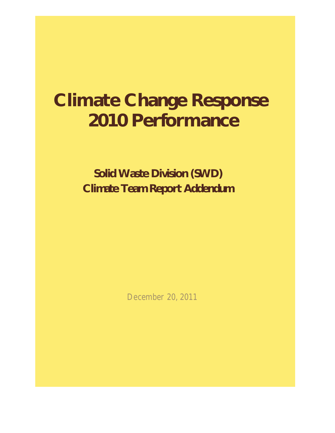# **Climate Change Response 2010 Performance**

 **Solid Waste Division (SWD) Climate Team Report Addendum**

December 20, 2011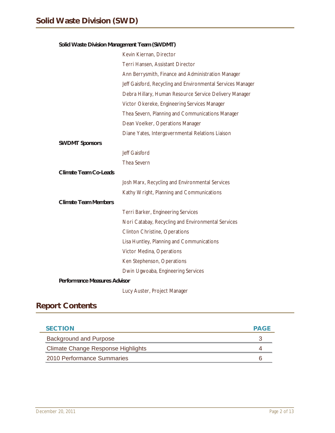### **Solid Waste Division Management Team (SWDMT)**

|                                     | Kevin Kiernan, Director                                     |
|-------------------------------------|-------------------------------------------------------------|
|                                     | Terri Hansen, Assistant Director                            |
|                                     | Ann Berrysmith, Finance and Administration Manager          |
|                                     | Jeff Gaisford, Recycling and Environmental Services Manager |
|                                     | Debra Hillary, Human Resource Service Delivery Manager      |
|                                     | Victor Okereke, Engineering Services Manager                |
|                                     | Thea Severn, Planning and Communications Manager            |
|                                     | Dean Voelker, Operations Manager                            |
|                                     | Diane Yates, Intergovernmental Relations Liaison            |
| <b>SWDMT Sponsors</b>               |                                                             |
|                                     | Jeff Gaisford                                               |
|                                     | Thea Severn                                                 |
| <b>Climate Team Co-Leads</b>        |                                                             |
|                                     | Josh Marx, Recycling and Environmental Services             |
|                                     | Kathy Wright, Planning and Communications                   |
| <b>Climate Team Members</b>         |                                                             |
|                                     | Terri Barker, Engineering Services                          |
|                                     | Nori Catabay, Recycling and Environmental Services          |
|                                     | <b>Clinton Christine, Operations</b>                        |
|                                     | Lisa Huntley, Planning and Communications                   |
|                                     | Victor Medina, Operations                                   |
|                                     | Ken Stephenson, Operations                                  |
|                                     | Dwin Ugwoaba, Engineering Services                          |
| <b>Performance Measures Advisor</b> |                                                             |
|                                     | Lucy Auster, Project Manager                                |

# **Report Contents**

e.

| <b>SECTION</b>                            | <b>PAGF</b> |
|-------------------------------------------|-------------|
| <b>Background and Purpose</b>             |             |
| <b>Climate Change Response Highlights</b> |             |
| 2010 Performance Summaries                |             |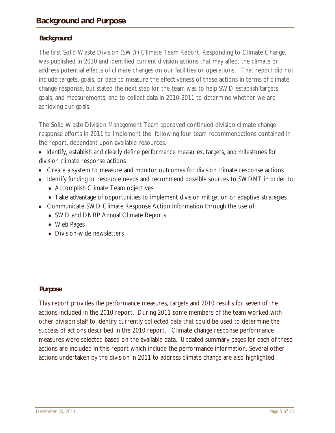### **Background**

The first Solid Waste Division (SWD) Climate Team Report, Responding to Climate Change, was published in 2010 and identified current division actions that may affect the climate or address potential effects of climate changes on our facilities or operations. That report did not include targets, goals, or data to measure the effectiveness of these actions in terms of climate change response, but stated the next step for the team was to help SWD establish targets, goals, and measurements, and to collect data in 2010-2011 to determine whether we are achieving our goals.

The Solid Waste Division Management Team approved continued division climate change response efforts in 2011 to implement the following four team recommendations contained in the report, dependant upon available resources.

• Identify, establish and clearly define performance measures, targets, and milestones for division climate response actions

- Create a system to measure and monitor outcomes for division climate response actions
- Identify funding or resource needs and recommend possible sources to SWDMT in order to:
	- Accomplish Climate Team objectives
	- Take advantage of opportunities to implement division mitigation or adaptive strategies
- Communicate SWD Climate Response Action Information through the use of:
	- SWD and DNRP Annual Climate Reports
	- Web Pages
	- Division-wide newsletters

### **Purpose**

This report provides the performance measures, targets and 2010 results for seven of the actions included in the 2010 report. During 2011 some members of the team worked with other division staff to identify currently collected data that could be used to determine the success of actions described in the 2010 report. Climate change response performance measures were selected based on the available data. Updated summary pages for each of these actions are included in this report which include the performance information. Several other actions undertaken by the division in 2011 to address climate change are also highlighted.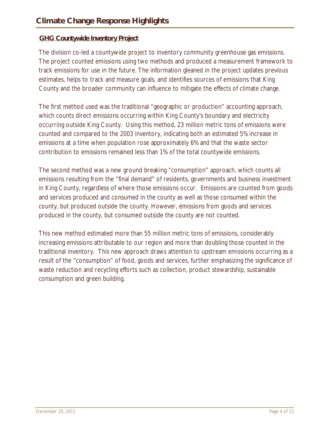### **GHG Countywide Inventory Project**

The division co-led a countywide project to inventory community greenhouse gas emissions. The project counted emissions using two methods and produced a measurement framework to track emissions for use in the future. The information gleaned in the project updates previous estimates, helps to track and measure goals, and identifies sources of emissions that King County and the broader community can influence to mitigate the effects of climate change.

The first method used was the traditional "geographic or production" accounting approach, which counts direct emissions occurring within King County's boundary and electricity occurring outside King County. Using this method, 23 million metric tons of emissions were counted and compared to the 2003 inventory, indicating both an estimated 5% increase in emissions at a time when population rose approximately 6% and that the waste sector contribution to emissions remained less than 1% of the total countywide emissions.

The second method was a new ground breaking "consumption" approach, which counts all emissions resulting from the "final demand" of residents, governments and business investment in King County, regardless of where those emissions occur. Emissions are counted from goods and services produced and consumed in the county as well as those consumed within the county, but produced outside the county. However, emissions from goods and services produced in the county, but consumed outside the county are not counted.

This new method estimated more than 55 million metric tons of emissions, considerably increasing emissions attributable to our region and more than doubling those counted in the traditional inventory. This new approach draws attention to upstream emissions occurring as a result of the "consumption" of food, goods and services, further emphasizing the significance of waste reduction and recycling efforts such as collection, product stewardship, sustainable consumption and green building.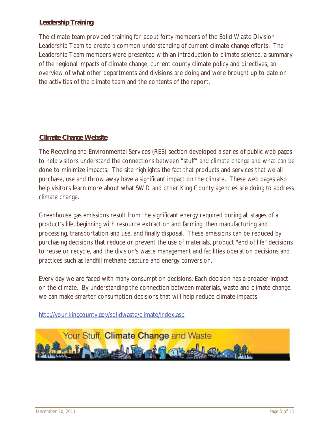### **Leadership Training**

The climate team provided training for about forty members of the Solid Waste Division Leadership Team to create a common understanding of current climate change efforts. The Leadership Team members were presented with an introduction to climate science, a summary of the regional impacts of climate change, current county climate policy and directives, an overview of what other departments and divisions are doing and were brought up to date on the activities of the climate team and the contents of the report.

### **Climate Change Website**

The Recycling and Environmental Services (RES) section developed a series of public web pages to help visitors understand the connections between "stuff" and climate change and what can be done to minimize impacts. The site highlights the fact that products and services that we all purchase, use and throw away have a significant impact on the climate. These web pages also help visitors learn more about what SWD and other King County agencies are doing to address climate change.

Greenhouse gas emissions result from the significant energy required during all stages of a product's life, beginning with resource extraction and farming, then manufacturing and processing, transportation and use, and finally disposal. These emissions can be reduced by purchasing decisions that reduce or prevent the use of materials, product "end of life" decisions to reuse or recycle, and the division's waste management and facilities operation decisions and practices such as landfill methane capture and energy conversion.

Every day we are faced with many consumption decisions. Each decision has a broader impact on the climate. By understanding the connection between materials, waste and climate change, we can make smarter consumption decisions that will help reduce climate impacts.

http://your.kingcounty.gov/solidwaste/climate/index.asp

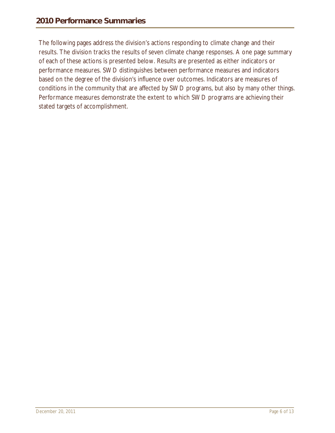The following pages address the division's actions responding to climate change and their results. The division tracks the results of seven climate change responses. A one page summary of each of these actions is presented below. Results are presented as either indicators or performance measures. SWD distinguishes between performance measures and indicators based on the degree of the division's influence over outcomes. Indicators are measures of conditions in the community that are affected by SWD programs, but also by many other things. Performance measures demonstrate the extent to which SWD programs are achieving their stated targets of accomplishment.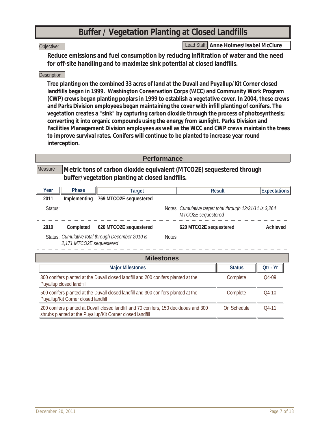### **Buffer / Vegetation Planting at Closed Landfills**

#### Objective:

Lead Staff: *Anne Holmes/Isabel McClure*

**Reduce emissions and fuel consumption by reducing infiltration of water and the need for off-site handling and to maximize sink potential at closed landfills.**

### Description:

**Tree planting on the combined 33 acres of land at the Duvall and Puyallup/Kit Corner closed landfills began in 1999. Washington Conservation Corps (WCC) and Community Work Program (CWP) crews began planting poplars in 1999 to establish a vegetative cover. In 2004, these crews and Parks Division employees began maintaining the cover with infill planting of conifers. The vegetation creates a "sink" by capturing carbon dioxide through the process of photosynthesis; converting it into organic compounds using the energy from sunlight. Parks Division and Facilities Management Division employees as well as the WCC and CWP crews maintain the trees to improve survival rates. Conifers will continue to be planted to increase year round interception.**

### **Performance**

**Metric tons of carbon dioxide equivalent (MTCO2E) sequestered through buffer/vegetation planting at closed landfills. Measure** 

| Year    | Phase                    | Target                                            |        | Result                                                                         | <b>Expectations</b> |
|---------|--------------------------|---------------------------------------------------|--------|--------------------------------------------------------------------------------|---------------------|
| 2011    | Implementing             | 769 MTCO2E sequestered                            |        |                                                                                |                     |
| Status: |                          |                                                   |        | Notes: Cumulative target total through 12/31/11 is 3,264<br>MTCO2E sequestered |                     |
| 2010    | Completed                | 620 MTCO2E sequestered                            |        | 620 MTCO2E sequestered                                                         | Achieved            |
|         | 2,171 MTCO2E sequestered | Status: Cumulative total through December 2010 is | Notes: |                                                                                |                     |
|         | <b>Milestones</b>        |                                                   |        |                                                                                |                     |

| <b>Milestones</b>                                                                                                                                  |               |          |
|----------------------------------------------------------------------------------------------------------------------------------------------------|---------------|----------|
| <b>Major Milestones</b>                                                                                                                            | <b>Status</b> | Otr - Yr |
| 300 conifers planted at the Duvall closed landfill and 200 conifers planted at the<br>Puyallup closed landfill                                     | Complete      | $O4-09$  |
| 500 conifers planted at the Duvall closed landfill and 300 conifers planted at the<br>Puyallup/Kit Corner closed landfill                          | Complete      | $O4-10$  |
| 200 conifers planted at Duvall closed landfill and 70 conifers, 150 deciduous and 300<br>shrubs planted at the Puyallup/Kit Corner closed landfill | On Schedule   | $04-11$  |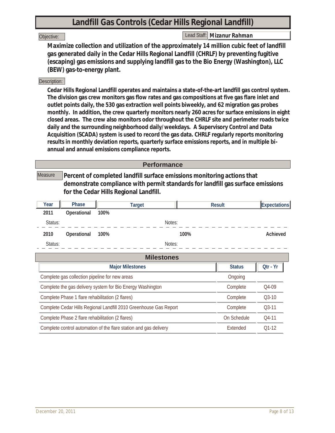# **Landfill Gas Controls (Cedar Hills Regional Landfill)**

### Objective:

Lead Staff: *Mizanur Rahman*

**Maximize collection and utilization of the approximately 14 million cubic feet of landfill gas generated daily in the Cedar Hills Regional Landfill (CHRLF) by preventing fugitive (escaping) gas emissions and supplying landfill gas to the Bio Energy (Washington), LLC (BEW) gas-to-energy plant.**

### Description:

**Cedar Hills Regional Landfill operates and maintains a state-of-the-art landfill gas control system. The division gas crew monitors gas flow rates and gas compositions at five gas flare inlet and outlet points daily, the 530 gas extraction well points biweekly, and 62 migration gas probes monthly. In addition, the crew quarterly monitors nearly 260 acres for surface emissions in eight closed areas. The crew also monitors odor throughout the CHRLF site and perimeter roads twice daily and the surrounding neighborhood daily/weekdays. A Supervisory Control and Data Acquisition (SCADA) system is used to record the gas data. CHRLF regularly reports monitoring results in monthly deviation reports, quarterly surface emissions reports, and in multiple biannual and annual emissions compliance reports.**

|         |                                                  |                                                                                                                                                                                                      | <b>Performance</b> |      |               |                     |
|---------|--------------------------------------------------|------------------------------------------------------------------------------------------------------------------------------------------------------------------------------------------------------|--------------------|------|---------------|---------------------|
| Measure |                                                  | Percent of completed landfill surface emissions monitoring actions that<br>demonstrate compliance with permit standards for landfill gas surface emissions<br>for the Cedar Hills Regional Landfill. |                    |      |               |                     |
| Year    | Phase                                            | <b>Target</b>                                                                                                                                                                                        |                    |      | <b>Result</b> | <b>Expectations</b> |
| 2011    | Operational                                      | 100%                                                                                                                                                                                                 |                    |      |               |                     |
| Status: |                                                  |                                                                                                                                                                                                      | Notes:             |      |               |                     |
| 2010    | Operational                                      | 100%                                                                                                                                                                                                 |                    | 100% |               | Achieved            |
| Status: |                                                  |                                                                                                                                                                                                      | Notes:             |      |               |                     |
|         |                                                  |                                                                                                                                                                                                      | <b>Milestones</b>  |      |               |                     |
|         |                                                  | <b>Major Milestones</b>                                                                                                                                                                              |                    |      | <b>Status</b> | Qtr - Yr            |
|         |                                                  | Complete gas collection pipeline for new areas                                                                                                                                                       |                    |      | Ongoing       |                     |
|         |                                                  | Complete the gas delivery system for Bio Energy Washington                                                                                                                                           |                    |      | Complete      | Q4-09               |
|         |                                                  | Complete Phase 1 flare rehabilitation (2 flares)                                                                                                                                                     |                    |      | Complete      | $Q3-10$             |
|         |                                                  | Complete Cedar Hills Regional Landfill 2010 Greenhouse Gas Report                                                                                                                                    |                    |      | Complete      | $Q3-11$             |
|         | Complete Phase 2 flare rehabilitation (2 flares) |                                                                                                                                                                                                      |                    |      | On Schedule   | $04-11$             |
|         |                                                  | Complete control automation of the flare station and gas delivery                                                                                                                                    |                    |      | Extended      | $O1-12$             |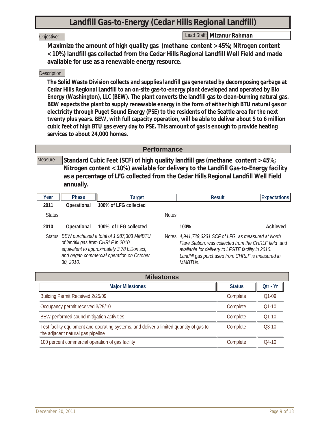# **Landfill Gas-to-Energy (Cedar Hills Regional Landfill)**

### Objective:

Lead Staff: *Mizanur Rahman*

**Maximize the amount of high quality gas (methane content > 45%; Nitrogen content < 10%) landfill gas collected from the Cedar Hills Regional Landfill Well Field and made available for use as a renewable energy resource.**

### Description:

**The Solid Waste Division collects and supplies landfill gas generated by decomposing garbage at Cedar Hills Regional Landfill to an on-site gas-to-energy plant developed and operated by Bio Energy (Washington), LLC (BEW). The plant converts the landfill gas to clean-burning natural gas. BEW expects the plant to supply renewable energy in the form of either high BTU natural gas or electricity through Puget Sound Energy (PSE) to the residents of the Seattle area for the next twenty plus years. BEW, with full capacity operation, will be able to deliver about 5 to 6 million cubic feet of high BTU gas every day to PSE. This amount of gas is enough to provide heating services to about 24,000 homes.**

### **Performance**

**Standard Cubic Feet (SCF) of high quality landfill gas (methane content > 45%; Nitrogen content < 10%) available for delivery to the Landfill Gas-to-Energy facility as a percentage of LFG collected from the Cedar Hills Regional Landfill Well Field annually.** Measure

| Year    | Phase       | Target                                                                                                                                                                                |        | Result                                                                                                                                                                                                                                           | <b>Expectations</b> |
|---------|-------------|---------------------------------------------------------------------------------------------------------------------------------------------------------------------------------------|--------|--------------------------------------------------------------------------------------------------------------------------------------------------------------------------------------------------------------------------------------------------|---------------------|
| 2011    | Operational | 100% of LFG collected                                                                                                                                                                 |        |                                                                                                                                                                                                                                                  |                     |
| Status: |             |                                                                                                                                                                                       | Notes: |                                                                                                                                                                                                                                                  |                     |
| 2010    | Operational | 100% of LFG collected                                                                                                                                                                 |        | 100%                                                                                                                                                                                                                                             | Achieved            |
|         | 30, 2010.   | Status: BEW purchased a total of 1,987,303 MMBTU<br>of landfill gas from CHRLF in 2010,<br>equivalent to approximately 3.78 billion scf,<br>and began commercial operation on October |        | Notes: 4,941,729,3231 SCF of LFG, as measured at North<br>Flare Station, was collected from the CHRLF field and<br>available for delivery to LFGTE facility in 2010.<br>Landfill gas purchased from CHRLF is measured in<br>MMBTU <sub>S</sub> . |                     |

| <b>Milestones</b>                                                                                                            |               |          |  |  |
|------------------------------------------------------------------------------------------------------------------------------|---------------|----------|--|--|
| <b>Major Milestones</b>                                                                                                      | <b>Status</b> | Qtr - Yr |  |  |
| Building Permit Received 2/25/09                                                                                             | Complete      | $O1-09$  |  |  |
| Occupancy permit received 3/29/10                                                                                            | Complete      | $O1-10$  |  |  |
| BEW performed sound mitigation activities                                                                                    | Complete      | $O1-10$  |  |  |
| Test facility equipment and operating systems, and deliver a limited quantity of gas to<br>the adjacent natural gas pipeline | Complete      | $03-10$  |  |  |
| 100 percent commercial operation of gas facility                                                                             | Complete      | $O4-10$  |  |  |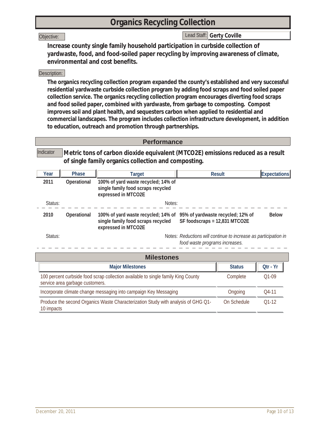# **Organics Recycling Collection**

### Objective:

Lead Staff: *Gerty Coville* 

**Increase county single family household participation in curbside collection of yardwaste, food, and food-soiled paper recycling by improving awareness of climate, environmental and cost benefits.**

### Description:

**The organics recycling collection program expanded the county's established and very successful residential yardwaste curbside collection program by adding food scraps and food soiled paper collection service. The organics recycling collection program encourages diverting food scraps and food soiled paper, combined with yardwaste, from garbage to composting. Compost improves soil and plant health, and sequesters carbon when applied to residential and commercial landscapes. The program includes collection infrastructure development, in addition to education, outreach and promotion through partnerships.**

### **Performance**

**Metric tons of carbon dioxide equivalent (MTCO2E) emissions reduced as a result of single family organics collection and composting.** Indicator

| Year    | Phase       | Target                                                                                           | <b>Result</b>                                                      | Expectations |
|---------|-------------|--------------------------------------------------------------------------------------------------|--------------------------------------------------------------------|--------------|
| 2011    | Operational | 100% of yard waste recycled; 14% of<br>single family food scraps recycled<br>expressed in MTCO2E |                                                                    |              |
| Status: |             | Notes:                                                                                           |                                                                    |              |
| 2010    | Operational | 100% of yard waste recycled; 14% of<br>single family food scraps recycled<br>expressed in MTCO2E | 95% of yardwaste recycled; 12% of<br>SF foodscraps = 12,831 MTCO2E | <b>Below</b> |
| Status: |             |                                                                                                  | Notes: Reductions will continue to increase as participation in    |              |

*food waste programs increases.*

| <b>Milestones</b>                                                                                                    |               |          |  |  |  |
|----------------------------------------------------------------------------------------------------------------------|---------------|----------|--|--|--|
| <b>Major Milestones</b>                                                                                              | <b>Status</b> | Otr - Yr |  |  |  |
| 100 percent curbside food scrap collection available to single family King County<br>service area garbage customers. | Complete      | $O1-09$  |  |  |  |
| Incorporate climate change messaging into campaign Key Messaging                                                     | Ongoing       | O4-11    |  |  |  |
| Produce the second Organics Waste Characterization Study with analysis of GHG Q1-<br>10 impacts                      | On Schedule   | $01-12$  |  |  |  |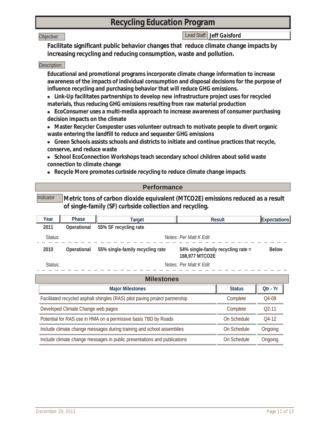### **Recycling Education Program**

#### Objective:

### Lead Staff: *Jeff Gaisford*

**Facilitate significant public behavior changes that reduce climate change impacts by increasing recycling and reducing consumption, waste and pollution.**

#### Description:

**Educational and promotional programs incorporate climate change information to increase awareness of the impacts of individual consumption and disposal decisions for the purpose of influence recycling and purchasing behavior that will reduce GHG emissions.** 

- **Link-Up facilitates partnerships to develop new infrastructure project uses for recycled materials, thus reducing GHG emissions resulting from raw material production**
- **EcoConsumer uses a multi-media approach to increase awareness of consumer purchasing decision impacts on the climate**
- **Master Recycler Composter uses volunteer outreach to motivate people to divert organic waste entering the landfill to reduce and sequester GHG emissions**
- **Green Schools assists schools and districts to initiate and continue practices that recycle, conserve, and reduce waste**
- **School EcoConnection Workshops teach secondary school children about solid waste connection to climate change**
- **Recycle More promotes curbside recycling to reduce climate change impacts**

| <b>Performance</b> |       |                                                                                                                                             |        |                     |
|--------------------|-------|---------------------------------------------------------------------------------------------------------------------------------------------|--------|---------------------|
| Indicator          |       | Metric tons of carbon dioxide equivalent (MTCO2E) emissions reduced as a result<br>of single-family (SF) curbside collection and recycling. |        |                     |
| Year               | Phase | Target                                                                                                                                      | Result | <b>Expectations</b> |

| . vu    | .           | i di yut                         | nosun                                                | ובחטומנוטווסן |
|---------|-------------|----------------------------------|------------------------------------------------------|---------------|
| 2011    | Operational | 55% SF recycling rate            |                                                      |               |
| Status: |             |                                  | Notes: Per Matt K Edit                               |               |
| 2010    | Operational | 55% single-family recycling rate | 54% single-family recycling rate =<br>188,977 MTCO2E | <b>Below</b>  |
| Status: |             |                                  | Notes: Per Matt K Edit                               |               |

| <b>Milestones</b>                                                            |               |          |  |  |
|------------------------------------------------------------------------------|---------------|----------|--|--|
| <b>Major Milestones</b>                                                      | <b>Status</b> | Otr - Yr |  |  |
| Facilitated recycled asphalt shingles (RAS) pilot paving project partnership | Complete      | $O4-09$  |  |  |
| Developed Climate Change web pages                                           | Complete      | $02-11$  |  |  |
| Potential for RAS use in HMA on a permissive basis TBD by Roads              | On Schedule   | $04-12$  |  |  |
| Include climate change messages during training and school assemblies        | On Schedule   | Ongoing  |  |  |
| Include climate change messages in public presentations and publications     | On Schedule   | Ongoing  |  |  |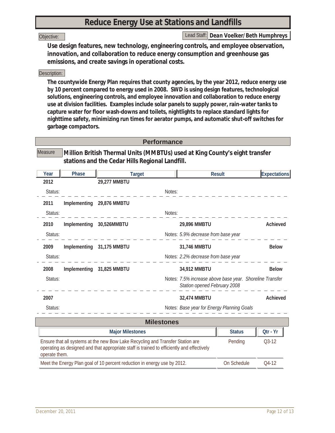# **Reduce Energy Use at Stations and Landfills**

#### Objective:

Lead Staff: *Dean Voelker/Beth Humphreys*

**Use design features, new technology, engineering controls, and employee observation, innovation, and collaboration to reduce energy consumption and greenhouse gas emissions, and create savings in operational costs.**

### Description:

**The countywide Energy Plan requires that county agencies, by the year 2012, reduce energy use by 10 percent compared to energy used in 2008. SWD is using design features, technological solutions, engineering controls, and employee innovation and collaboration to reduce energy use at division facilities. Examples include solar panels to supply power, rain-water tanks to capture water for floor wash-downs and toilets, nightlights to replace standard lights for nighttime safety, minimizing run times for aerator pumps, and automatic shut-off switches for garbage compactors.**

### **Performance**

**Million British Thermal Units (MMBTUs) used at King County's eight transfer stations and the Cedar Hills Regional Landfill. Measure** 

| Year              | Phase                                                                                                                                                                                   | <b>Target</b>           |        | <b>Result</b>                                                                            |               | Expectations |  |  |  |  |
|-------------------|-----------------------------------------------------------------------------------------------------------------------------------------------------------------------------------------|-------------------------|--------|------------------------------------------------------------------------------------------|---------------|--------------|--|--|--|--|
| 2012              |                                                                                                                                                                                         | 29,277 MMBTU            |        |                                                                                          |               |              |  |  |  |  |
| Status:           |                                                                                                                                                                                         |                         | Notes: |                                                                                          |               |              |  |  |  |  |
| 2011              | Implementing                                                                                                                                                                            | 29,876 MMBTU            |        |                                                                                          |               |              |  |  |  |  |
| Status:           |                                                                                                                                                                                         |                         | Notes: |                                                                                          |               |              |  |  |  |  |
| 2010              | Implementing                                                                                                                                                                            | 30,526MMBTU             |        | 29,896 MMBTU                                                                             |               | Achieved     |  |  |  |  |
| Status:           |                                                                                                                                                                                         |                         |        | Notes: 5.9% decrease from base year                                                      |               |              |  |  |  |  |
| 2009              | Implementing                                                                                                                                                                            | 31,175 MMBTU            |        | 31,746 MMBTU                                                                             |               | <b>Below</b> |  |  |  |  |
| Status:           |                                                                                                                                                                                         |                         |        | Notes: 2.2% decrease from base year                                                      |               |              |  |  |  |  |
| 2008              | Implementing                                                                                                                                                                            | 31,825 MMBTU            |        | 34,912 MMBTU                                                                             |               | <b>Below</b> |  |  |  |  |
| Status:           |                                                                                                                                                                                         |                         |        | Notes: 7.5% increase above base year. Shoreline Transfer<br>Station opened February 2008 |               |              |  |  |  |  |
| 2007              |                                                                                                                                                                                         |                         |        | 32,474 MMBTU                                                                             |               | Achieved     |  |  |  |  |
| Status:           |                                                                                                                                                                                         |                         |        | Notes: Base year for Energy Planning Goals                                               |               |              |  |  |  |  |
| <b>Milestones</b> |                                                                                                                                                                                         |                         |        |                                                                                          |               |              |  |  |  |  |
|                   |                                                                                                                                                                                         | <b>Major Milestones</b> |        |                                                                                          | <b>Status</b> | Qtr - Yr     |  |  |  |  |
|                   | Ensure that all systems at the new Bow Lake Recycling and Transfer Station are<br>Pending<br>operating as designed and that appropriate staff is trained to efficiently and effectively |                         |        |                                                                                          |               |              |  |  |  |  |

operate them.

Meet the Energy Plan goal of 10 percent reduction in energy use by 2012. On Schedule Q4-12